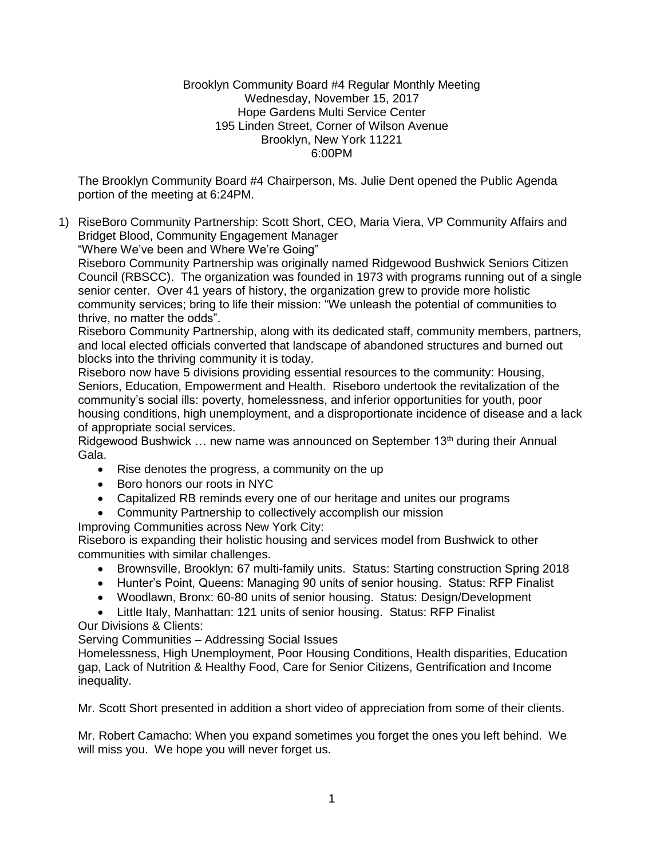## Brooklyn Community Board #4 Regular Monthly Meeting Wednesday, November 15, 2017 Hope Gardens Multi Service Center 195 Linden Street, Corner of Wilson Avenue Brooklyn, New York 11221 6:00PM

The Brooklyn Community Board #4 Chairperson, Ms. Julie Dent opened the Public Agenda portion of the meeting at 6:24PM.

1) RiseBoro Community Partnership: Scott Short, CEO, Maria Viera, VP Community Affairs and Bridget Blood, Community Engagement Manager

"Where We've been and Where We're Going"

Riseboro Community Partnership was originally named Ridgewood Bushwick Seniors Citizen Council (RBSCC). The organization was founded in 1973 with programs running out of a single senior center. Over 41 years of history, the organization grew to provide more holistic community services; bring to life their mission: "We unleash the potential of communities to thrive, no matter the odds".

Riseboro Community Partnership, along with its dedicated staff, community members, partners, and local elected officials converted that landscape of abandoned structures and burned out blocks into the thriving community it is today.

Riseboro now have 5 divisions providing essential resources to the community: Housing, Seniors, Education, Empowerment and Health. Riseboro undertook the revitalization of the community's social ills: poverty, homelessness, and inferior opportunities for youth, poor housing conditions, high unemployment, and a disproportionate incidence of disease and a lack of appropriate social services.

Ridgewood Bushwick ... new name was announced on September 13<sup>th</sup> during their Annual Gala.

- Rise denotes the progress, a community on the up
- Boro honors our roots in NYC
- Capitalized RB reminds every one of our heritage and unites our programs
- Community Partnership to collectively accomplish our mission

Improving Communities across New York City:

Riseboro is expanding their holistic housing and services model from Bushwick to other communities with similar challenges.

- Brownsville, Brooklyn: 67 multi-family units. Status: Starting construction Spring 2018
- Hunter's Point, Queens: Managing 90 units of senior housing. Status: RFP Finalist
- Woodlawn, Bronx: 60-80 units of senior housing. Status: Design/Development
- Little Italy, Manhattan: 121 units of senior housing. Status: RFP Finalist

# Our Divisions & Clients:

Serving Communities – Addressing Social Issues

Homelessness, High Unemployment, Poor Housing Conditions, Health disparities, Education gap, Lack of Nutrition & Healthy Food, Care for Senior Citizens, Gentrification and Income inequality.

Mr. Scott Short presented in addition a short video of appreciation from some of their clients.

Mr. Robert Camacho: When you expand sometimes you forget the ones you left behind. We will miss you. We hope you will never forget us.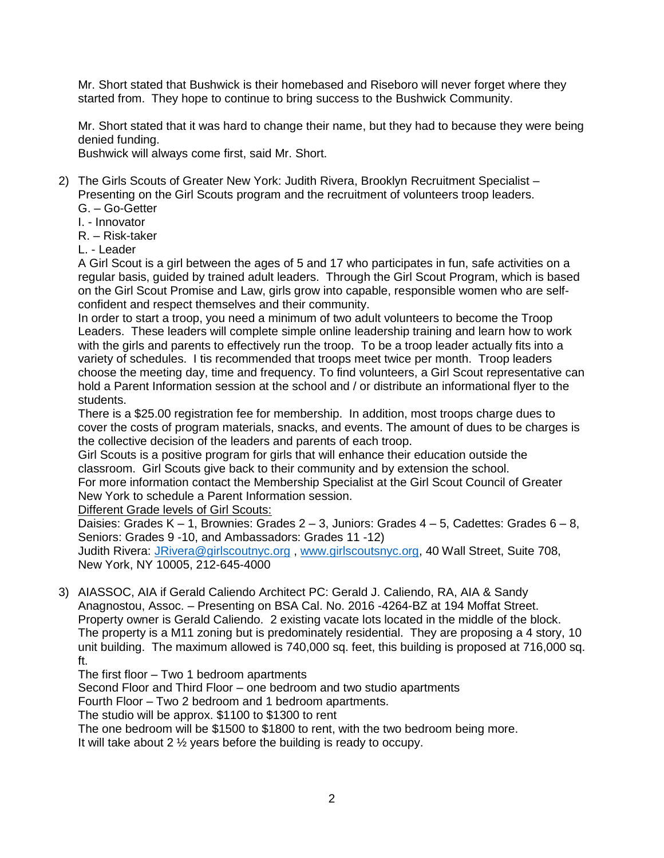Mr. Short stated that Bushwick is their homebased and Riseboro will never forget where they started from. They hope to continue to bring success to the Bushwick Community.

Mr. Short stated that it was hard to change their name, but they had to because they were being denied funding.

Bushwick will always come first, said Mr. Short.

- 2) The Girls Scouts of Greater New York: Judith Rivera, Brooklyn Recruitment Specialist Presenting on the Girl Scouts program and the recruitment of volunteers troop leaders. G. – Go-Getter
	- I. Innovator

R. – Risk-taker

L. - Leader

A Girl Scout is a girl between the ages of 5 and 17 who participates in fun, safe activities on a regular basis, guided by trained adult leaders. Through the Girl Scout Program, which is based on the Girl Scout Promise and Law, girls grow into capable, responsible women who are selfconfident and respect themselves and their community.

In order to start a troop, you need a minimum of two adult volunteers to become the Troop Leaders. These leaders will complete simple online leadership training and learn how to work with the girls and parents to effectively run the troop. To be a troop leader actually fits into a variety of schedules. I tis recommended that troops meet twice per month. Troop leaders choose the meeting day, time and frequency. To find volunteers, a Girl Scout representative can hold a Parent Information session at the school and / or distribute an informational flyer to the students.

There is a \$25.00 registration fee for membership. In addition, most troops charge dues to cover the costs of program materials, snacks, and events. The amount of dues to be charges is the collective decision of the leaders and parents of each troop.

Girl Scouts is a positive program for girls that will enhance their education outside the classroom. Girl Scouts give back to their community and by extension the school.

For more information contact the Membership Specialist at the Girl Scout Council of Greater New York to schedule a Parent Information session.

Different Grade levels of Girl Scouts:

Daisies: Grades K – 1, Brownies: Grades 2 – 3, Juniors: Grades 4 – 5, Cadettes: Grades 6 – 8, Seniors: Grades 9 -10, and Ambassadors: Grades 11 -12)

Judith Rivera: [JRivera@girlscoutnyc.org](mailto:JRivera@girlscoutnyc.org) , [www.girlscoutsnyc.org,](http://www.girlscoutsnyc.org/) 40 Wall Street, Suite 708, New York, NY 10005, 212-645-4000

3) AIASSOC, AIA if Gerald Caliendo Architect PC: Gerald J. Caliendo, RA, AIA & Sandy Anagnostou, Assoc. – Presenting on BSA Cal. No. 2016 -4264-BZ at 194 Moffat Street. Property owner is Gerald Caliendo. 2 existing vacate lots located in the middle of the block. The property is a M11 zoning but is predominately residential. They are proposing a 4 story, 10 unit building. The maximum allowed is 740,000 sq. feet, this building is proposed at 716,000 sq. ft.

The first floor – Two 1 bedroom apartments

Second Floor and Third Floor – one bedroom and two studio apartments

Fourth Floor – Two 2 bedroom and 1 bedroom apartments.

The studio will be approx. \$1100 to \$1300 to rent

The one bedroom will be \$1500 to \$1800 to rent, with the two bedroom being more.

It will take about 2 ½ years before the building is ready to occupy.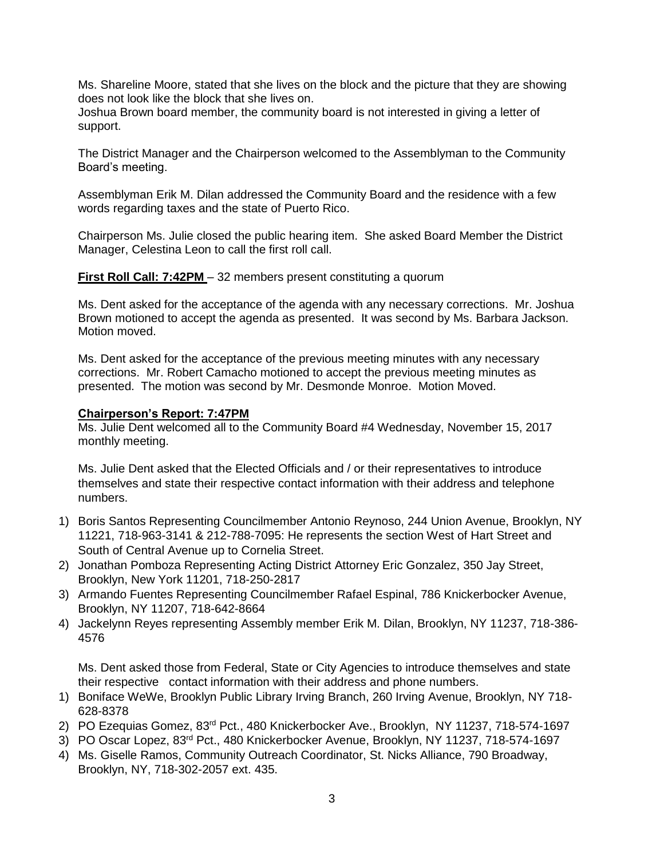Ms. Shareline Moore, stated that she lives on the block and the picture that they are showing does not look like the block that she lives on.

Joshua Brown board member, the community board is not interested in giving a letter of support.

The District Manager and the Chairperson welcomed to the Assemblyman to the Community Board's meeting.

Assemblyman Erik M. Dilan addressed the Community Board and the residence with a few words regarding taxes and the state of Puerto Rico.

Chairperson Ms. Julie closed the public hearing item. She asked Board Member the District Manager, Celestina Leon to call the first roll call.

**First Roll Call: 7:42PM** – 32 members present constituting a quorum

Ms. Dent asked for the acceptance of the agenda with any necessary corrections. Mr. Joshua Brown motioned to accept the agenda as presented. It was second by Ms. Barbara Jackson. Motion moved.

Ms. Dent asked for the acceptance of the previous meeting minutes with any necessary corrections. Mr. Robert Camacho motioned to accept the previous meeting minutes as presented. The motion was second by Mr. Desmonde Monroe. Motion Moved.

## **Chairperson's Report: 7:47PM**

Ms. Julie Dent welcomed all to the Community Board #4 Wednesday, November 15, 2017 monthly meeting.

Ms. Julie Dent asked that the Elected Officials and / or their representatives to introduce themselves and state their respective contact information with their address and telephone numbers.

- 1) Boris Santos Representing Councilmember Antonio Reynoso, 244 Union Avenue, Brooklyn, NY 11221, 718-963-3141 & 212-788-7095: He represents the section West of Hart Street and South of Central Avenue up to Cornelia Street.
- 2) Jonathan Pomboza Representing Acting District Attorney Eric Gonzalez, 350 Jay Street, Brooklyn, New York 11201, 718-250-2817
- 3) Armando Fuentes Representing Councilmember Rafael Espinal, 786 Knickerbocker Avenue, Brooklyn, NY 11207, 718-642-8664
- 4) Jackelynn Reyes representing Assembly member Erik M. Dilan, Brooklyn, NY 11237, 718-386- 4576

Ms. Dent asked those from Federal, State or City Agencies to introduce themselves and state their respective contact information with their address and phone numbers.

- 1) Boniface WeWe, Brooklyn Public Library Irving Branch, 260 Irving Avenue, Brooklyn, NY 718- 628-8378
- 2) PO Ezequias Gomez, 83<sup>rd</sup> Pct., 480 Knickerbocker Ave., Brooklyn, NY 11237, 718-574-1697
- 3) PO Oscar Lopez, 83rd Pct., 480 Knickerbocker Avenue, Brooklyn, NY 11237, 718-574-1697
- 4) Ms. Giselle Ramos, Community Outreach Coordinator, St. Nicks Alliance, 790 Broadway, Brooklyn, NY, 718-302-2057 ext. 435.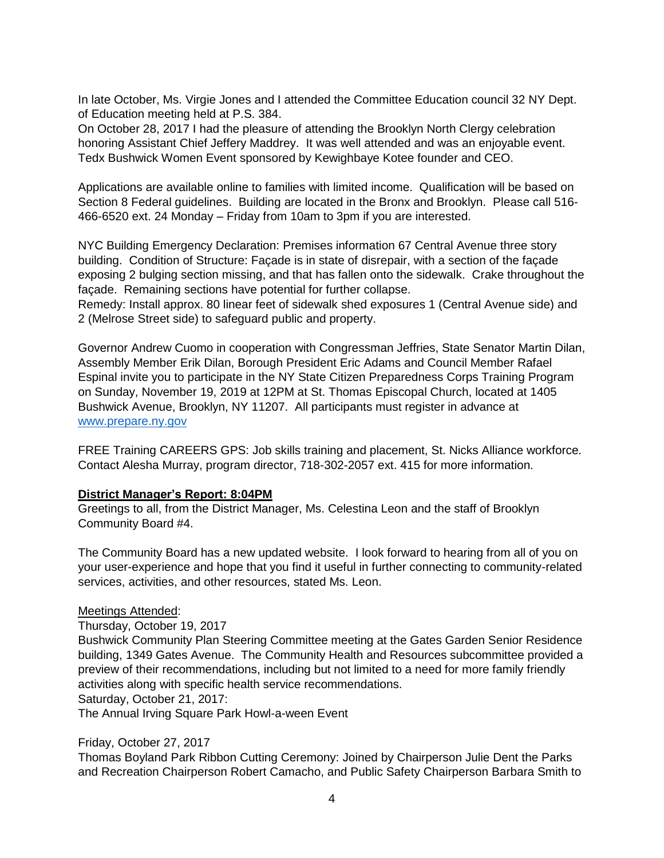In late October, Ms. Virgie Jones and I attended the Committee Education council 32 NY Dept. of Education meeting held at P.S. 384.

On October 28, 2017 I had the pleasure of attending the Brooklyn North Clergy celebration honoring Assistant Chief Jeffery Maddrey. It was well attended and was an enjoyable event. Tedx Bushwick Women Event sponsored by Kewighbaye Kotee founder and CEO.

Applications are available online to families with limited income. Qualification will be based on Section 8 Federal guidelines. Building are located in the Bronx and Brooklyn. Please call 516- 466-6520 ext. 24 Monday – Friday from 10am to 3pm if you are interested.

NYC Building Emergency Declaration: Premises information 67 Central Avenue three story building. Condition of Structure: Façade is in state of disrepair, with a section of the façade exposing 2 bulging section missing, and that has fallen onto the sidewalk. Crake throughout the façade. Remaining sections have potential for further collapse.

Remedy: Install approx. 80 linear feet of sidewalk shed exposures 1 (Central Avenue side) and 2 (Melrose Street side) to safeguard public and property.

Governor Andrew Cuomo in cooperation with Congressman Jeffries, State Senator Martin Dilan, Assembly Member Erik Dilan, Borough President Eric Adams and Council Member Rafael Espinal invite you to participate in the NY State Citizen Preparedness Corps Training Program on Sunday, November 19, 2019 at 12PM at St. Thomas Episcopal Church, located at 1405 Bushwick Avenue, Brooklyn, NY 11207. All participants must register in advance at [www.prepare.ny.gov](http://www.prepare.ny.gov/)

FREE Training CAREERS GPS: Job skills training and placement, St. Nicks Alliance workforce. Contact Alesha Murray, program director, 718-302-2057 ext. 415 for more information.

# **District Manager's Report: 8:04PM**

Greetings to all, from the District Manager, Ms. Celestina Leon and the staff of Brooklyn Community Board #4.

The Community Board has a new updated website. I look forward to hearing from all of you on your user-experience and hope that you find it useful in further connecting to community-related services, activities, and other resources, stated Ms. Leon.

### Meetings Attended:

Thursday, October 19, 2017

Bushwick Community Plan Steering Committee meeting at the Gates Garden Senior Residence building, 1349 Gates Avenue. The Community Health and Resources subcommittee provided a preview of their recommendations, including but not limited to a need for more family friendly activities along with specific health service recommendations.

Saturday, October 21, 2017:

The Annual Irving Square Park Howl-a-ween Event

### Friday, October 27, 2017

Thomas Boyland Park Ribbon Cutting Ceremony: Joined by Chairperson Julie Dent the Parks and Recreation Chairperson Robert Camacho, and Public Safety Chairperson Barbara Smith to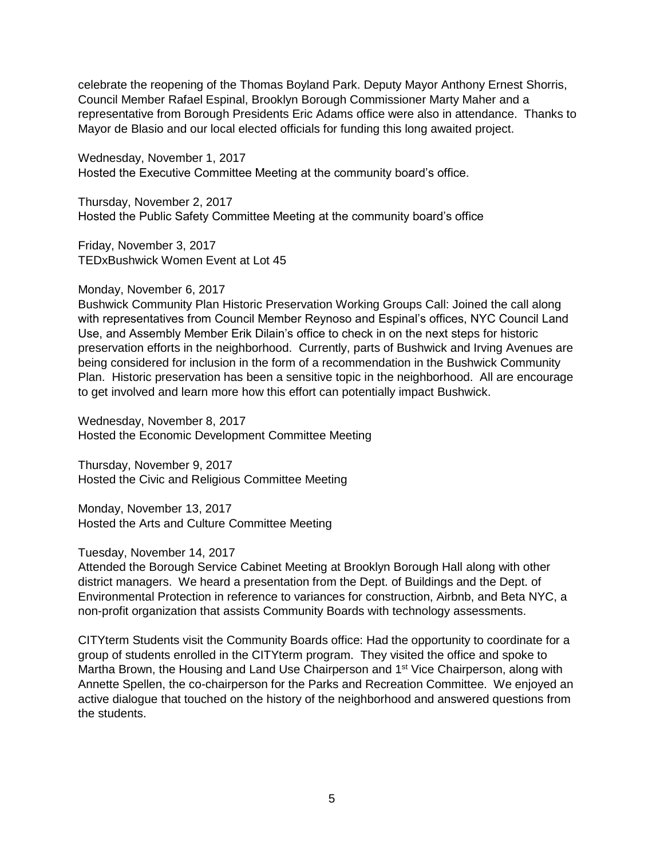celebrate the reopening of the Thomas Boyland Park. Deputy Mayor Anthony Ernest Shorris, Council Member Rafael Espinal, Brooklyn Borough Commissioner Marty Maher and a representative from Borough Presidents Eric Adams office were also in attendance. Thanks to Mayor de Blasio and our local elected officials for funding this long awaited project.

Wednesday, November 1, 2017 Hosted the Executive Committee Meeting at the community board's office.

Thursday, November 2, 2017 Hosted the Public Safety Committee Meeting at the community board's office

Friday, November 3, 2017 TEDxBushwick Women Event at Lot 45

### Monday, November 6, 2017

Bushwick Community Plan Historic Preservation Working Groups Call: Joined the call along with representatives from Council Member Reynoso and Espinal's offices, NYC Council Land Use, and Assembly Member Erik Dilain's office to check in on the next steps for historic preservation efforts in the neighborhood. Currently, parts of Bushwick and Irving Avenues are being considered for inclusion in the form of a recommendation in the Bushwick Community Plan. Historic preservation has been a sensitive topic in the neighborhood. All are encourage to get involved and learn more how this effort can potentially impact Bushwick.

Wednesday, November 8, 2017 Hosted the Economic Development Committee Meeting

Thursday, November 9, 2017 Hosted the Civic and Religious Committee Meeting

Monday, November 13, 2017 Hosted the Arts and Culture Committee Meeting

Tuesday, November 14, 2017

Attended the Borough Service Cabinet Meeting at Brooklyn Borough Hall along with other district managers. We heard a presentation from the Dept. of Buildings and the Dept. of Environmental Protection in reference to variances for construction, Airbnb, and Beta NYC, a non-profit organization that assists Community Boards with technology assessments.

CITYterm Students visit the Community Boards office: Had the opportunity to coordinate for a group of students enrolled in the CITYterm program. They visited the office and spoke to Martha Brown, the Housing and Land Use Chairperson and 1<sup>st</sup> Vice Chairperson, along with Annette Spellen, the co-chairperson for the Parks and Recreation Committee. We enjoyed an active dialogue that touched on the history of the neighborhood and answered questions from the students.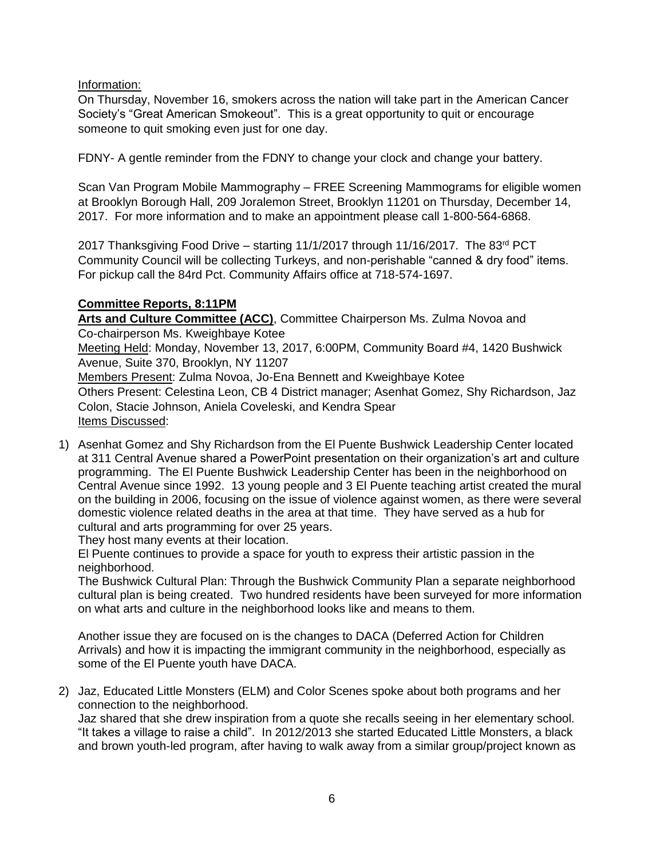Information:

On Thursday, November 16, smokers across the nation will take part in the American Cancer Society's "Great American Smokeout". This is a great opportunity to quit or encourage someone to quit smoking even just for one day.

FDNY- A gentle reminder from the FDNY to change your clock and change your battery.

Scan Van Program Mobile Mammography – FREE Screening Mammograms for eligible women at Brooklyn Borough Hall, 209 Joralemon Street, Brooklyn 11201 on Thursday, December 14, 2017. For more information and to make an appointment please call 1-800-564-6868.

2017 Thanksgiving Food Drive – starting 11/1/2017 through 11/16/2017. The 83<sup>rd</sup> PCT Community Council will be collecting Turkeys, and non-perishable "canned & dry food" items. For pickup call the 84rd Pct. Community Affairs office at 718-574-1697.

# **Committee Reports, 8:11PM**

Arts and Culture Committee (ACC), Committee Chairperson Ms. Zulma Novoa and Co-chairperson Ms. Kweighbaye Kotee Meeting Held: Monday, November 13, 2017, 6:00PM, Community Board #4, 1420 Bushwick Avenue, Suite 370, Brooklyn, NY 11207 Members Present: Zulma Novoa, Jo-Ena Bennett and Kweighbaye Kotee Others Present: Celestina Leon, CB 4 District manager; Asenhat Gomez, Shy Richardson, Jaz Colon, Stacie Johnson, Aniela Coveleski, and Kendra Spear Items Discussed:

1) Asenhat Gomez and Shy Richardson from the El Puente Bushwick Leadership Center located at 311 Central Avenue shared a PowerPoint presentation on their organization's art and culture programming. The El Puente Bushwick Leadership Center has been in the neighborhood on Central Avenue since 1992. 13 young people and 3 El Puente teaching artist created the mural on the building in 2006, focusing on the issue of violence against women, as there were several domestic violence related deaths in the area at that time. They have served as a hub for cultural and arts programming for over 25 years.

They host many events at their location.

El Puente continues to provide a space for youth to express their artistic passion in the neighborhood.

The Bushwick Cultural Plan: Through the Bushwick Community Plan a separate neighborhood cultural plan is being created. Two hundred residents have been surveyed for more information on what arts and culture in the neighborhood looks like and means to them.

Another issue they are focused on is the changes to DACA (Deferred Action for Children Arrivals) and how it is impacting the immigrant community in the neighborhood, especially as some of the El Puente youth have DACA.

2) Jaz, Educated Little Monsters (ELM) and Color Scenes spoke about both programs and her connection to the neighborhood.

Jaz shared that she drew inspiration from a quote she recalls seeing in her elementary school. "It takes a village to raise a child". In 2012/2013 she started Educated Little Monsters, a black and brown youth-led program, after having to walk away from a similar group/project known as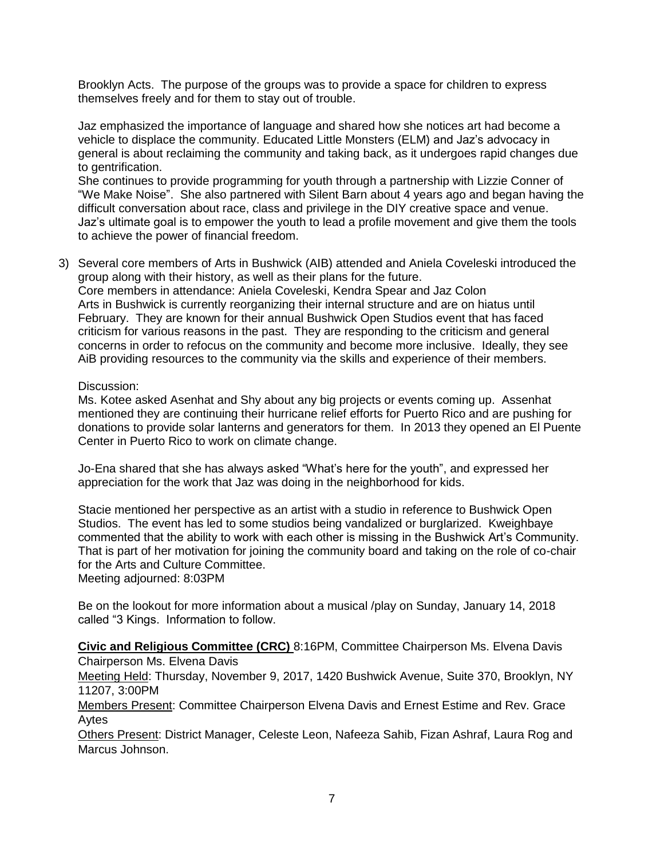Brooklyn Acts. The purpose of the groups was to provide a space for children to express themselves freely and for them to stay out of trouble.

Jaz emphasized the importance of language and shared how she notices art had become a vehicle to displace the community. Educated Little Monsters (ELM) and Jaz's advocacy in general is about reclaiming the community and taking back, as it undergoes rapid changes due to gentrification.

She continues to provide programming for youth through a partnership with Lizzie Conner of "We Make Noise". She also partnered with Silent Barn about 4 years ago and began having the difficult conversation about race, class and privilege in the DIY creative space and venue. Jaz's ultimate goal is to empower the youth to lead a profile movement and give them the tools to achieve the power of financial freedom.

3) Several core members of Arts in Bushwick (AIB) attended and Aniela Coveleski introduced the group along with their history, as well as their plans for the future. Core members in attendance: Aniela Coveleski, Kendra Spear and Jaz Colon Arts in Bushwick is currently reorganizing their internal structure and are on hiatus until February. They are known for their annual Bushwick Open Studios event that has faced criticism for various reasons in the past. They are responding to the criticism and general concerns in order to refocus on the community and become more inclusive. Ideally, they see AiB providing resources to the community via the skills and experience of their members.

### Discussion:

Ms. Kotee asked Asenhat and Shy about any big projects or events coming up. Assenhat mentioned they are continuing their hurricane relief efforts for Puerto Rico and are pushing for donations to provide solar lanterns and generators for them. In 2013 they opened an El Puente Center in Puerto Rico to work on climate change.

Jo-Ena shared that she has always asked "What's here for the youth", and expressed her appreciation for the work that Jaz was doing in the neighborhood for kids.

Stacie mentioned her perspective as an artist with a studio in reference to Bushwick Open Studios. The event has led to some studios being vandalized or burglarized. Kweighbaye commented that the ability to work with each other is missing in the Bushwick Art's Community. That is part of her motivation for joining the community board and taking on the role of co-chair for the Arts and Culture Committee.

Meeting adjourned: 8:03PM

Be on the lookout for more information about a musical /play on Sunday, January 14, 2018 called "3 Kings. Information to follow.

**Civic and Religious Committee (CRC)** 8:16PM, Committee Chairperson Ms. Elvena Davis Chairperson Ms. Elvena Davis

Meeting Held: Thursday, November 9, 2017, 1420 Bushwick Avenue, Suite 370, Brooklyn, NY 11207, 3:00PM

Members Present: Committee Chairperson Elvena Davis and Ernest Estime and Rev. Grace Aytes

Others Present: District Manager, Celeste Leon, Nafeeza Sahib, Fizan Ashraf, Laura Rog and Marcus Johnson.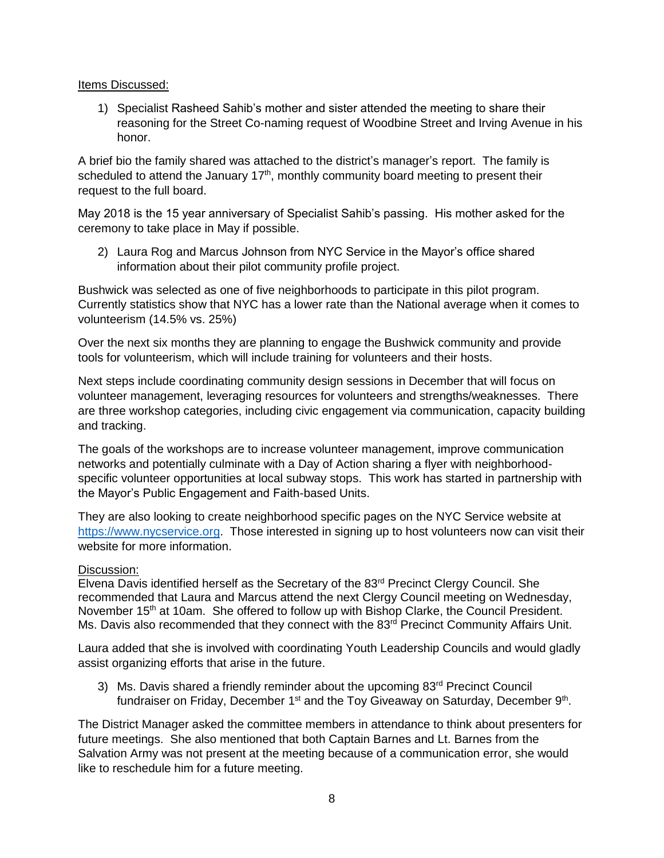Items Discussed:

1) Specialist Rasheed Sahib's mother and sister attended the meeting to share their reasoning for the Street Co-naming request of Woodbine Street and Irving Avenue in his honor.

A brief bio the family shared was attached to the district's manager's report. The family is scheduled to attend the January  $17<sup>th</sup>$ , monthly community board meeting to present their request to the full board.

May 2018 is the 15 year anniversary of Specialist Sahib's passing. His mother asked for the ceremony to take place in May if possible.

2) Laura Rog and Marcus Johnson from NYC Service in the Mayor's office shared information about their pilot community profile project.

Bushwick was selected as one of five neighborhoods to participate in this pilot program. Currently statistics show that NYC has a lower rate than the National average when it comes to volunteerism (14.5% vs. 25%)

Over the next six months they are planning to engage the Bushwick community and provide tools for volunteerism, which will include training for volunteers and their hosts.

Next steps include coordinating community design sessions in December that will focus on volunteer management, leveraging resources for volunteers and strengths/weaknesses. There are three workshop categories, including civic engagement via communication, capacity building and tracking.

The goals of the workshops are to increase volunteer management, improve communication networks and potentially culminate with a Day of Action sharing a flyer with neighborhoodspecific volunteer opportunities at local subway stops. This work has started in partnership with the Mayor's Public Engagement and Faith-based Units.

They are also looking to create neighborhood specific pages on the NYC Service website at [https://www.nycservice.org.](https://www.nycservice.org/) Those interested in signing up to host volunteers now can visit their website for more information.

# Discussion:

Elvena Davis identified herself as the Secretary of the  $83<sup>rd</sup>$  Precinct Clergy Council. She recommended that Laura and Marcus attend the next Clergy Council meeting on Wednesday, November 15<sup>th</sup> at 10am. She offered to follow up with Bishop Clarke, the Council President. Ms. Davis also recommended that they connect with the 83<sup>rd</sup> Precinct Community Affairs Unit.

Laura added that she is involved with coordinating Youth Leadership Councils and would gladly assist organizing efforts that arise in the future.

3) Ms. Davis shared a friendly reminder about the upcoming  $83<sup>rd</sup>$  Precinct Council fundraiser on Friday, December 1<sup>st</sup> and the Toy Giveaway on Saturday, December 9<sup>th</sup>.

The District Manager asked the committee members in attendance to think about presenters for future meetings. She also mentioned that both Captain Barnes and Lt. Barnes from the Salvation Army was not present at the meeting because of a communication error, she would like to reschedule him for a future meeting.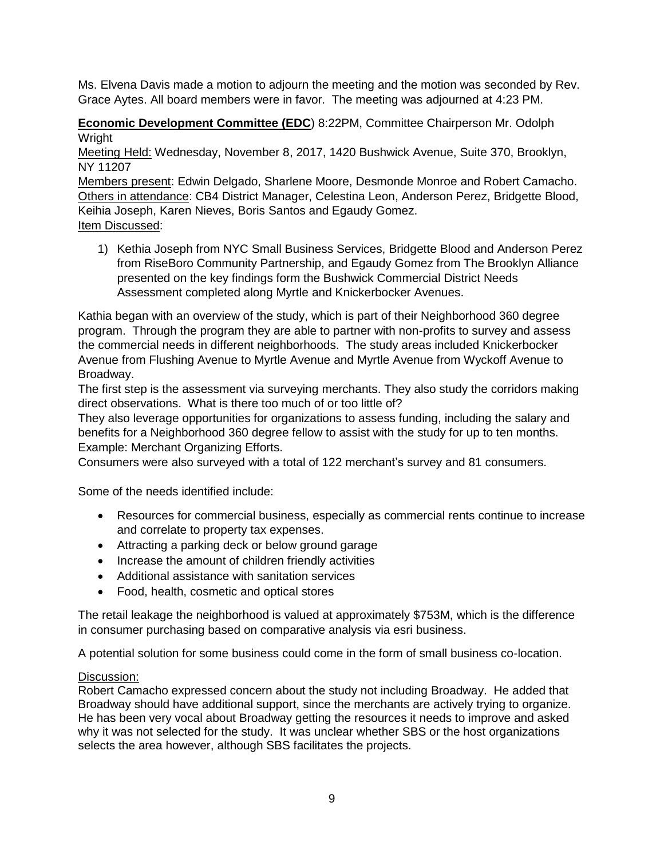Ms. Elvena Davis made a motion to adjourn the meeting and the motion was seconded by Rev. Grace Aytes. All board members were in favor. The meeting was adjourned at 4:23 PM.

**Economic Development Committee (EDC**) 8:22PM, Committee Chairperson Mr. Odolph Wright

Meeting Held: Wednesday, November 8, 2017, 1420 Bushwick Avenue, Suite 370, Brooklyn, NY 11207

Members present: Edwin Delgado, Sharlene Moore, Desmonde Monroe and Robert Camacho. Others in attendance: CB4 District Manager, Celestina Leon, Anderson Perez, Bridgette Blood, Keihia Joseph, Karen Nieves, Boris Santos and Egaudy Gomez. Item Discussed:

1) Kethia Joseph from NYC Small Business Services, Bridgette Blood and Anderson Perez from RiseBoro Community Partnership, and Egaudy Gomez from The Brooklyn Alliance presented on the key findings form the Bushwick Commercial District Needs Assessment completed along Myrtle and Knickerbocker Avenues.

Kathia began with an overview of the study, which is part of their Neighborhood 360 degree program. Through the program they are able to partner with non-profits to survey and assess the commercial needs in different neighborhoods. The study areas included Knickerbocker Avenue from Flushing Avenue to Myrtle Avenue and Myrtle Avenue from Wyckoff Avenue to Broadway.

The first step is the assessment via surveying merchants. They also study the corridors making direct observations. What is there too much of or too little of?

They also leverage opportunities for organizations to assess funding, including the salary and benefits for a Neighborhood 360 degree fellow to assist with the study for up to ten months. Example: Merchant Organizing Efforts.

Consumers were also surveyed with a total of 122 merchant's survey and 81 consumers.

Some of the needs identified include:

- Resources for commercial business, especially as commercial rents continue to increase and correlate to property tax expenses.
- Attracting a parking deck or below ground garage
- Increase the amount of children friendly activities
- Additional assistance with sanitation services
- Food, health, cosmetic and optical stores

The retail leakage the neighborhood is valued at approximately \$753M, which is the difference in consumer purchasing based on comparative analysis via esri business.

A potential solution for some business could come in the form of small business co-location.

# Discussion:

Robert Camacho expressed concern about the study not including Broadway. He added that Broadway should have additional support, since the merchants are actively trying to organize. He has been very vocal about Broadway getting the resources it needs to improve and asked why it was not selected for the study. It was unclear whether SBS or the host organizations selects the area however, although SBS facilitates the projects.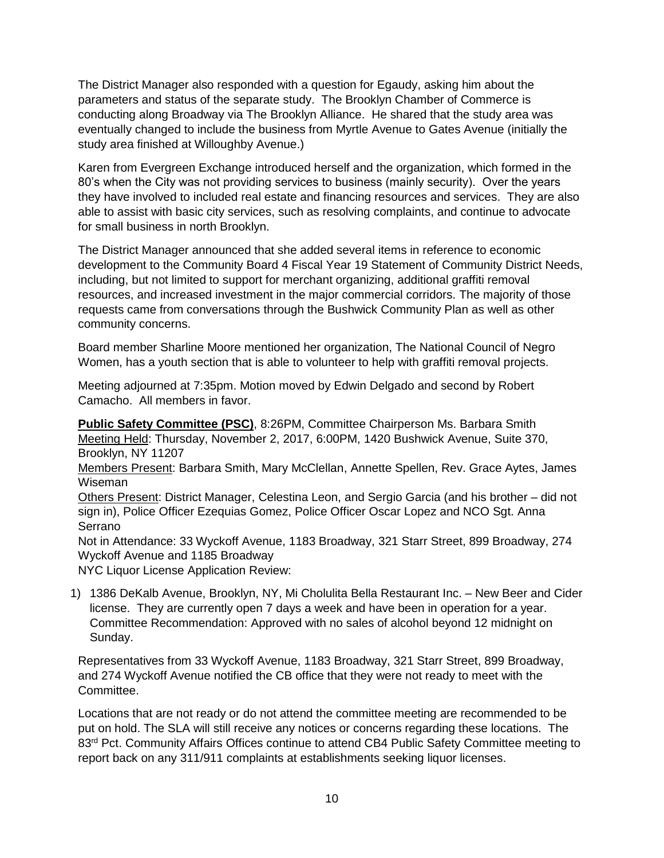The District Manager also responded with a question for Egaudy, asking him about the parameters and status of the separate study. The Brooklyn Chamber of Commerce is conducting along Broadway via The Brooklyn Alliance. He shared that the study area was eventually changed to include the business from Myrtle Avenue to Gates Avenue (initially the study area finished at Willoughby Avenue.)

Karen from Evergreen Exchange introduced herself and the organization, which formed in the 80's when the City was not providing services to business (mainly security). Over the years they have involved to included real estate and financing resources and services. They are also able to assist with basic city services, such as resolving complaints, and continue to advocate for small business in north Brooklyn.

The District Manager announced that she added several items in reference to economic development to the Community Board 4 Fiscal Year 19 Statement of Community District Needs, including, but not limited to support for merchant organizing, additional graffiti removal resources, and increased investment in the major commercial corridors. The majority of those requests came from conversations through the Bushwick Community Plan as well as other community concerns.

Board member Sharline Moore mentioned her organization, The National Council of Negro Women, has a youth section that is able to volunteer to help with graffiti removal projects.

Meeting adjourned at 7:35pm. Motion moved by Edwin Delgado and second by Robert Camacho. All members in favor.

**Public Safety Committee (PSC)**, 8:26PM, Committee Chairperson Ms. Barbara Smith Meeting Held: Thursday, November 2, 2017, 6:00PM, 1420 Bushwick Avenue, Suite 370, Brooklyn, NY 11207

Members Present: Barbara Smith, Mary McClellan, Annette Spellen, Rev. Grace Aytes, James Wiseman

Others Present: District Manager, Celestina Leon, and Sergio Garcia (and his brother – did not sign in), Police Officer Ezequias Gomez, Police Officer Oscar Lopez and NCO Sgt. Anna Serrano

Not in Attendance: 33 Wyckoff Avenue, 1183 Broadway, 321 Starr Street, 899 Broadway, 274 Wyckoff Avenue and 1185 Broadway

NYC Liquor License Application Review:

1) 1386 DeKalb Avenue, Brooklyn, NY, Mi Cholulita Bella Restaurant Inc. – New Beer and Cider license. They are currently open 7 days a week and have been in operation for a year. Committee Recommendation: Approved with no sales of alcohol beyond 12 midnight on Sunday.

Representatives from 33 Wyckoff Avenue, 1183 Broadway, 321 Starr Street, 899 Broadway, and 274 Wyckoff Avenue notified the CB office that they were not ready to meet with the Committee.

Locations that are not ready or do not attend the committee meeting are recommended to be put on hold. The SLA will still receive any notices or concerns regarding these locations. The 83<sup>rd</sup> Pct. Community Affairs Offices continue to attend CB4 Public Safety Committee meeting to report back on any 311/911 complaints at establishments seeking liquor licenses.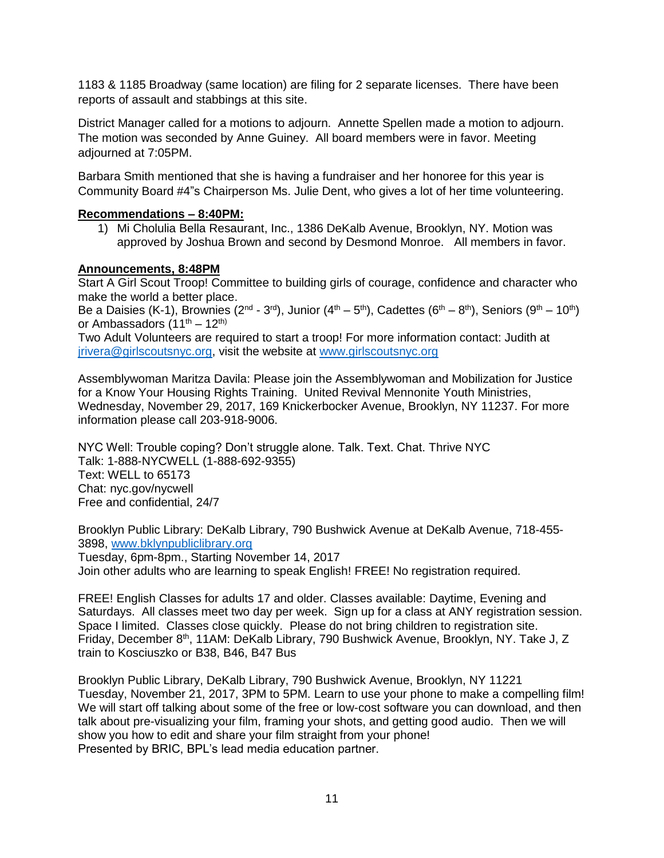1183 & 1185 Broadway (same location) are filing for 2 separate licenses. There have been reports of assault and stabbings at this site.

District Manager called for a motions to adjourn. Annette Spellen made a motion to adjourn. The motion was seconded by Anne Guiney. All board members were in favor. Meeting adjourned at 7:05PM.

Barbara Smith mentioned that she is having a fundraiser and her honoree for this year is Community Board #4"s Chairperson Ms. Julie Dent, who gives a lot of her time volunteering.

# **Recommendations – 8:40PM:**

1) Mi Cholulia Bella Resaurant, Inc., 1386 DeKalb Avenue, Brooklyn, NY. Motion was approved by Joshua Brown and second by Desmond Monroe. All members in favor.

## **Announcements, 8:48PM**

Start A Girl Scout Troop! Committee to building girls of courage, confidence and character who make the world a better place.

Be a Daisies (K-1), Brownies (2<sup>nd</sup> - 3<sup>rd</sup>), Junior (4<sup>th</sup> – 5<sup>th</sup>), Cadettes (6<sup>th</sup> – 8<sup>th</sup>), Seniors (9<sup>th</sup> – 10<sup>th</sup>) or Ambassadors  $(11^{th} – 12^{th})$ 

Two Adult Volunteers are required to start a troop! For more information contact: Judith at [jrivera@girlscoutsnyc.org,](mailto:jrivera@girlscoutsnyc.org) visit the website at [www.girlscoutsnyc.org](http://www.girlscoutsnyc.org/) 

Assemblywoman Maritza Davila: Please join the Assemblywoman and Mobilization for Justice for a Know Your Housing Rights Training. United Revival Mennonite Youth Ministries, Wednesday, November 29, 2017, 169 Knickerbocker Avenue, Brooklyn, NY 11237. For more information please call 203-918-9006.

NYC Well: Trouble coping? Don't struggle alone. Talk. Text. Chat. Thrive NYC Talk: 1-888-NYCWELL (1-888-692-9355) Text: WELL to 65173 Chat: nyc.gov/nycwell Free and confidential, 24/7

Brooklyn Public Library: DeKalb Library, 790 Bushwick Avenue at DeKalb Avenue, 718-455- 3898, [www.bklynpubliclibrary.org](http://www.bklynpubliclibrary.org/)

Tuesday, 6pm-8pm., Starting November 14, 2017 Join other adults who are learning to speak English! FREE! No registration required.

FREE! English Classes for adults 17 and older. Classes available: Daytime, Evening and Saturdays. All classes meet two day per week. Sign up for a class at ANY registration session. Space I limited. Classes close quickly. Please do not bring children to registration site. Friday, December 8th, 11AM: DeKalb Library, 790 Bushwick Avenue, Brooklyn, NY. Take J, Z train to Kosciuszko or B38, B46, B47 Bus

Brooklyn Public Library, DeKalb Library, 790 Bushwick Avenue, Brooklyn, NY 11221 Tuesday, November 21, 2017, 3PM to 5PM. Learn to use your phone to make a compelling film! We will start off talking about some of the free or low-cost software you can download, and then talk about pre-visualizing your film, framing your shots, and getting good audio. Then we will show you how to edit and share your film straight from your phone! Presented by BRIC, BPL's lead media education partner.